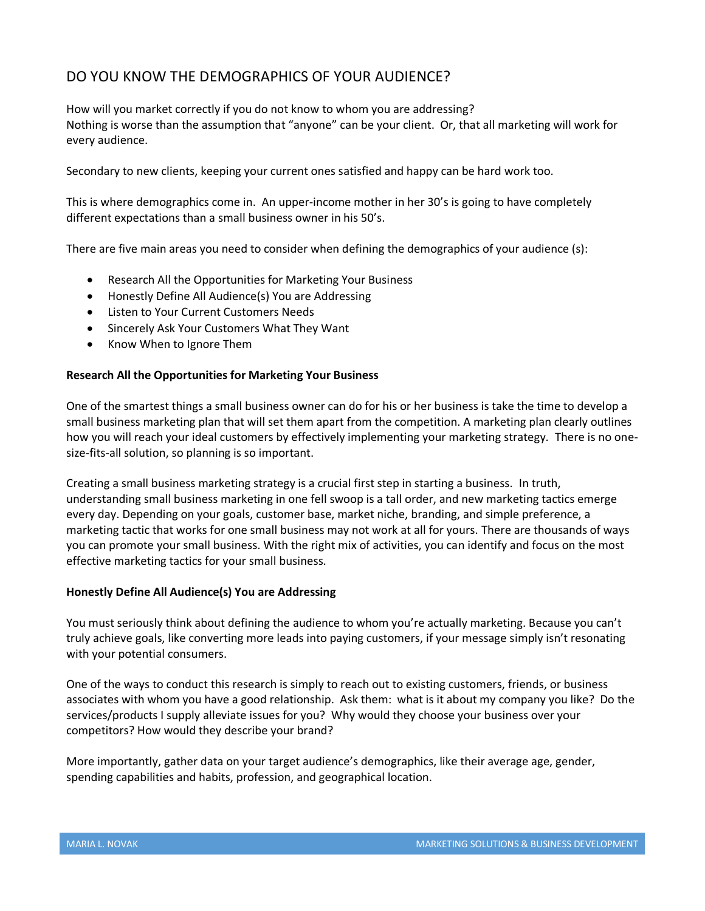# DO YOU KNOW THE DEMOGRAPHICS OF YOUR AUDIENCE?

How will you market correctly if you do not know to whom you are addressing? Nothing is worse than the assumption that "anyone" can be your client. Or, that all marketing will work for every audience.

Secondary to new clients, keeping your current ones satisfied and happy can be hard work too.

This is where demographics come in. An upper-income mother in her 30's is going to have completely different expectations than a small business owner in his 50's.

There are five main areas you need to consider when defining the demographics of your audience (s):

- Research All the Opportunities for Marketing Your Business
- Honestly Define All Audience(s) You are Addressing
- Listen to Your Current Customers Needs
- Sincerely Ask Your Customers What They Want
- Know When to Ignore Them

# **Research All the Opportunities for Marketing Your Business**

One of the smartest things a small business owner can do for his or her business is take the time to develop a small business marketing plan that will set them apart from the competition. A marketing plan clearly outlines how you will reach your ideal customers by effectively implementing your marketing strategy. There is no onesize-fits-all solution, so planning is so important.

Creating a small business marketing strategy is a crucial first step in starting a business. In truth, understanding small business marketing in one fell swoop is a tall order, and new marketing tactics emerge every day. Depending on your goals, customer base, market niche, branding, and simple preference, a marketing tactic that works for one small business may not work at all for yours. There are thousands of ways you can promote your small business. With the right mix of activities, you can identify and focus on the most effective marketing tactics for your small business.

# **Honestly Define All Audience(s) You are Addressing**

You must seriously think about defining the audience to whom you're actually marketing. Because you can't truly achieve goals, like converting more leads into paying customers, if your message simply isn't resonating with your potential consumers.

One of the ways to conduct this research is simply to reach out to existing customers, friends, or business associates with whom you have a good relationship. Ask them: what is it about my company you like? Do the services/products I supply alleviate issues for you? Why would they choose your business over your competitors? How would they describe your brand?

More importantly, gather data on your target audience's demographics, like their average age, gender, spending capabilities and habits, profession, and geographical location.